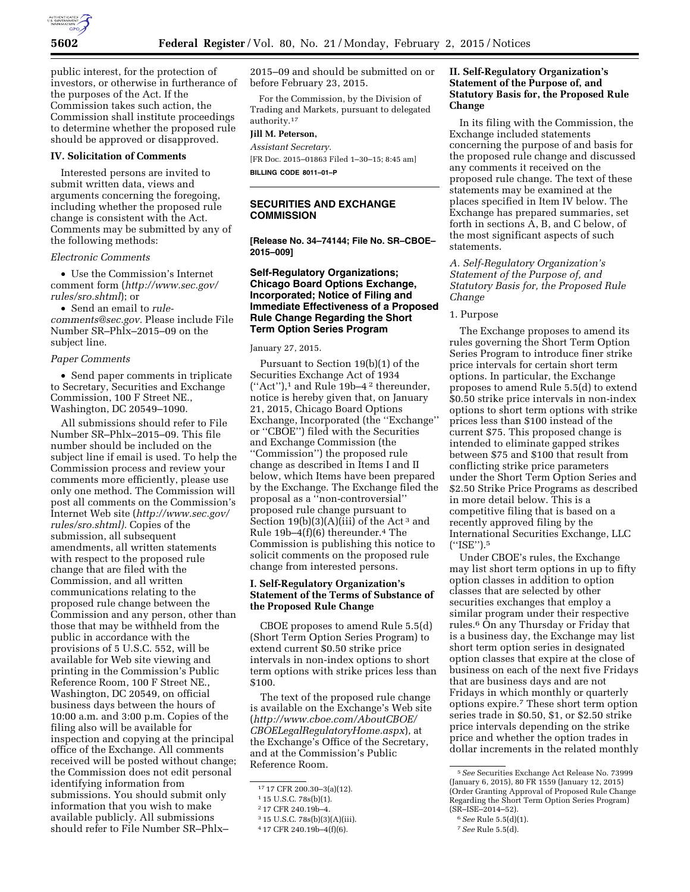

public interest, for the protection of investors, or otherwise in furtherance of the purposes of the Act. If the Commission takes such action, the Commission shall institute proceedings to determine whether the proposed rule should be approved or disapproved.

#### **IV. Solicitation of Comments**

Interested persons are invited to submit written data, views and arguments concerning the foregoing, including whether the proposed rule change is consistent with the Act. Comments may be submitted by any of the following methods:

#### *Electronic Comments*

• Use the Commission's Internet comment form (*[http://www.sec.gov/](http://www.sec.gov/rules/sro.shtml)  [rules/sro.shtml](http://www.sec.gov/rules/sro.shtml)*); or

• Send an email to *[rule](mailto:rule-comments@sec.gov)[comments@sec.gov.](mailto:rule-comments@sec.gov)* Please include File Number SR–Phlx–2015–09 on the subject line.

#### *Paper Comments*

• Send paper comments in triplicate to Secretary, Securities and Exchange Commission, 100 F Street NE., Washington, DC 20549–1090.

All submissions should refer to File Number SR–Phlx–2015–09. This file number should be included on the subject line if email is used. To help the Commission process and review your comments more efficiently, please use only one method. The Commission will post all comments on the Commission's Internet Web site (*[http://www.sec.gov/](http://www.sec.gov/rules/sro.shtml)  [rules/sro.shtml\).](http://www.sec.gov/rules/sro.shtml)* Copies of the submission, all subsequent amendments, all written statements with respect to the proposed rule change that are filed with the Commission, and all written communications relating to the proposed rule change between the Commission and any person, other than those that may be withheld from the public in accordance with the provisions of 5 U.S.C. 552, will be available for Web site viewing and printing in the Commission's Public Reference Room, 100 F Street NE., Washington, DC 20549, on official business days between the hours of 10:00 a.m. and 3:00 p.m. Copies of the filing also will be available for inspection and copying at the principal office of the Exchange. All comments received will be posted without change; the Commission does not edit personal identifying information from submissions. You should submit only information that you wish to make available publicly. All submissions should refer to File Number SR–Phlx–

2015–09 and should be submitted on or before February 23, 2015.

For the Commission, by the Division of Trading and Markets, pursuant to delegated authority.17

# **Jill M. Peterson,**

*Assistant Secretary.*  [FR Doc. 2015–01863 Filed 1–30–15; 8:45 am] **BILLING CODE 8011–01–P** 

## **SECURITIES AND EXCHANGE COMMISSION**

**[Release No. 34–74144; File No. SR–CBOE– 2015–009]** 

## **Self-Regulatory Organizations; Chicago Board Options Exchange, Incorporated; Notice of Filing and Immediate Effectiveness of a Proposed Rule Change Regarding the Short Term Option Series Program**

January 27, 2015.

Pursuant to Section 19(b)(1) of the Securities Exchange Act of 1934  $("Act")$ ,<sup>1</sup> and Rule 19b-4<sup>2</sup> thereunder, notice is hereby given that, on January 21, 2015, Chicago Board Options Exchange, Incorporated (the ''Exchange'' or ''CBOE'') filed with the Securities and Exchange Commission (the ''Commission'') the proposed rule change as described in Items I and II below, which Items have been prepared by the Exchange. The Exchange filed the proposal as a ''non-controversial'' proposed rule change pursuant to Section  $19(b)(3)(A)(iii)$  of the Act<sup>3</sup> and Rule 19b–4(f)(6) thereunder.4 The Commission is publishing this notice to solicit comments on the proposed rule change from interested persons.

#### **I. Self-Regulatory Organization's Statement of the Terms of Substance of the Proposed Rule Change**

CBOE proposes to amend Rule 5.5(d) (Short Term Option Series Program) to extend current \$0.50 strike price intervals in non-index options to short term options with strike prices less than \$100.

The text of the proposed rule change is available on the Exchange's Web site (*[http://www.cboe.com/AboutCBOE/](http://www.cboe.com/AboutCBOE/CBOELegalRegulatoryHome.aspx) [CBOELegalRegulatoryHome.aspx](http://www.cboe.com/AboutCBOE/CBOELegalRegulatoryHome.aspx)*), at the Exchange's Office of the Secretary, and at the Commission's Public Reference Room.

#### **II. Self-Regulatory Organization's Statement of the Purpose of, and Statutory Basis for, the Proposed Rule Change**

In its filing with the Commission, the Exchange included statements concerning the purpose of and basis for the proposed rule change and discussed any comments it received on the proposed rule change. The text of these statements may be examined at the places specified in Item IV below. The Exchange has prepared summaries, set forth in sections A, B, and C below, of the most significant aspects of such statements.

*A. Self-Regulatory Organization's Statement of the Purpose of, and Statutory Basis for, the Proposed Rule Change* 

#### 1. Purpose

The Exchange proposes to amend its rules governing the Short Term Option Series Program to introduce finer strike price intervals for certain short term options. In particular, the Exchange proposes to amend Rule 5.5(d) to extend \$0.50 strike price intervals in non-index options to short term options with strike prices less than \$100 instead of the current \$75. This proposed change is intended to eliminate gapped strikes between \$75 and \$100 that result from conflicting strike price parameters under the Short Term Option Series and \$2.50 Strike Price Programs as described in more detail below. This is a competitive filing that is based on a recently approved filing by the International Securities Exchange, LLC (''ISE'').5

Under CBOE's rules, the Exchange may list short term options in up to fifty option classes in addition to option classes that are selected by other securities exchanges that employ a similar program under their respective rules.6 On any Thursday or Friday that is a business day, the Exchange may list short term option series in designated option classes that expire at the close of business on each of the next five Fridays that are business days and are not Fridays in which monthly or quarterly options expire.7 These short term option series trade in \$0.50, \$1, or \$2.50 strike price intervals depending on the strike price and whether the option trades in dollar increments in the related monthly

<sup>17</sup> 17 CFR 200.30–3(a)(12).

<sup>1</sup> 15 U.S.C. 78s(b)(1).

<sup>2</sup> 17 CFR 240.19b–4.

<sup>3</sup> 15 U.S.C. 78s(b)(3)(A)(iii).

<sup>4</sup> 17 CFR 240.19b–4(f)(6).

<sup>5</sup>*See* Securities Exchange Act Release No. 73999 (January 6, 2015), 80 FR 1559 (January 12, 2015) (Order Granting Approval of Proposed Rule Change Regarding the Short Term Option Series Program) (SR–ISE–2014–52).

<sup>6</sup>*See* Rule 5.5(d)(1).

<sup>7</sup>*See* Rule 5.5(d).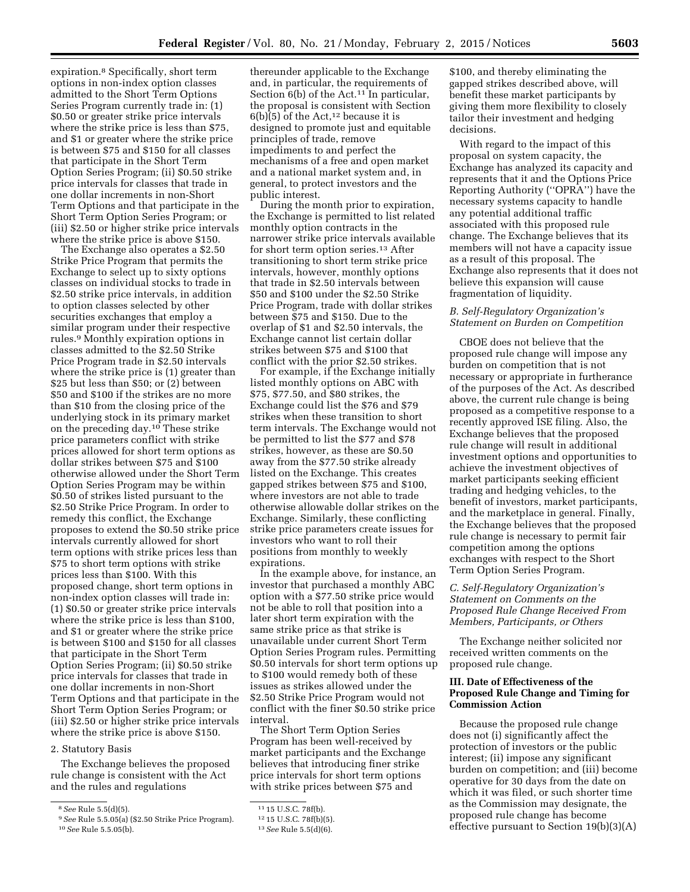expiration.8 Specifically, short term options in non-index option classes admitted to the Short Term Options Series Program currently trade in: (1) \$0.50 or greater strike price intervals where the strike price is less than \$75, and \$1 or greater where the strike price is between \$75 and \$150 for all classes that participate in the Short Term Option Series Program; (ii) \$0.50 strike price intervals for classes that trade in one dollar increments in non-Short Term Options and that participate in the Short Term Option Series Program; or (iii) \$2.50 or higher strike price intervals where the strike price is above \$150.

The Exchange also operates a \$2.50 Strike Price Program that permits the Exchange to select up to sixty options classes on individual stocks to trade in \$2.50 strike price intervals, in addition to option classes selected by other securities exchanges that employ a similar program under their respective rules.9 Monthly expiration options in classes admitted to the \$2.50 Strike Price Program trade in \$2.50 intervals where the strike price is (1) greater than \$25 but less than \$50; or (2) between \$50 and \$100 if the strikes are no more than \$10 from the closing price of the underlying stock in its primary market on the preceding day.10 These strike price parameters conflict with strike prices allowed for short term options as dollar strikes between \$75 and \$100 otherwise allowed under the Short Term Option Series Program may be within \$0.50 of strikes listed pursuant to the \$2.50 Strike Price Program. In order to remedy this conflict, the Exchange proposes to extend the \$0.50 strike price intervals currently allowed for short term options with strike prices less than \$75 to short term options with strike prices less than \$100. With this proposed change, short term options in non-index option classes will trade in: (1) \$0.50 or greater strike price intervals where the strike price is less than \$100, and \$1 or greater where the strike price is between \$100 and \$150 for all classes that participate in the Short Term Option Series Program; (ii) \$0.50 strike price intervals for classes that trade in one dollar increments in non-Short Term Options and that participate in the Short Term Option Series Program; or (iii) \$2.50 or higher strike price intervals where the strike price is above \$150.

#### 2. Statutory Basis

The Exchange believes the proposed rule change is consistent with the Act and the rules and regulations

thereunder applicable to the Exchange and, in particular, the requirements of Section  $6(b)$  of the Act.<sup>11</sup> In particular, the proposal is consistent with Section  $6(b)(5)$  of the Act,<sup>12</sup> because it is designed to promote just and equitable principles of trade, remove impediments to and perfect the mechanisms of a free and open market and a national market system and, in general, to protect investors and the public interest.

During the month prior to expiration, the Exchange is permitted to list related monthly option contracts in the narrower strike price intervals available for short term option series.13 After transitioning to short term strike price intervals, however, monthly options that trade in \$2.50 intervals between \$50 and \$100 under the \$2.50 Strike Price Program, trade with dollar strikes between \$75 and \$150. Due to the overlap of \$1 and \$2.50 intervals, the Exchange cannot list certain dollar strikes between \$75 and \$100 that conflict with the prior \$2.50 strikes.

For example, if the Exchange initially listed monthly options on ABC with \$75, \$77.50, and \$80 strikes, the Exchange could list the \$76 and \$79 strikes when these transition to short term intervals. The Exchange would not be permitted to list the \$77 and \$78 strikes, however, as these are \$0.50 away from the \$77.50 strike already listed on the Exchange. This creates gapped strikes between \$75 and \$100, where investors are not able to trade otherwise allowable dollar strikes on the Exchange. Similarly, these conflicting strike price parameters create issues for investors who want to roll their positions from monthly to weekly expirations.

In the example above, for instance, an investor that purchased a monthly ABC option with a \$77.50 strike price would not be able to roll that position into a later short term expiration with the same strike price as that strike is unavailable under current Short Term Option Series Program rules. Permitting \$0.50 intervals for short term options up to \$100 would remedy both of these issues as strikes allowed under the \$2.50 Strike Price Program would not conflict with the finer \$0.50 strike price interval.

The Short Term Option Series Program has been well-received by market participants and the Exchange believes that introducing finer strike price intervals for short term options with strike prices between \$75 and

\$100, and thereby eliminating the gapped strikes described above, will benefit these market participants by giving them more flexibility to closely tailor their investment and hedging decisions.

With regard to the impact of this proposal on system capacity, the Exchange has analyzed its capacity and represents that it and the Options Price Reporting Authority (''OPRA'') have the necessary systems capacity to handle any potential additional traffic associated with this proposed rule change. The Exchange believes that its members will not have a capacity issue as a result of this proposal. The Exchange also represents that it does not believe this expansion will cause fragmentation of liquidity.

## *B. Self-Regulatory Organization's Statement on Burden on Competition*

CBOE does not believe that the proposed rule change will impose any burden on competition that is not necessary or appropriate in furtherance of the purposes of the Act. As described above, the current rule change is being proposed as a competitive response to a recently approved ISE filing. Also, the Exchange believes that the proposed rule change will result in additional investment options and opportunities to achieve the investment objectives of market participants seeking efficient trading and hedging vehicles, to the benefit of investors, market participants, and the marketplace in general. Finally, the Exchange believes that the proposed rule change is necessary to permit fair competition among the options exchanges with respect to the Short Term Option Series Program.

## *C. Self-Regulatory Organization's Statement on Comments on the Proposed Rule Change Received From Members, Participants, or Others*

The Exchange neither solicited nor received written comments on the proposed rule change.

## **III. Date of Effectiveness of the Proposed Rule Change and Timing for Commission Action**

Because the proposed rule change does not (i) significantly affect the protection of investors or the public interest; (ii) impose any significant burden on competition; and (iii) become operative for 30 days from the date on which it was filed, or such shorter time as the Commission may designate, the proposed rule change has become effective pursuant to Section 19(b)(3)(A)

<sup>8</sup>*See* Rule 5.5(d)(5).

<sup>9</sup>*See* Rule 5.5.05(a) (\$2.50 Strike Price Program). 10*See* Rule 5.5.05(b).

<sup>11</sup> 15 U.S.C. 78f(b).

<sup>12</sup> 15 U.S.C. 78f(b)(5).

<sup>13</sup>*See* Rule 5.5(d)(6).